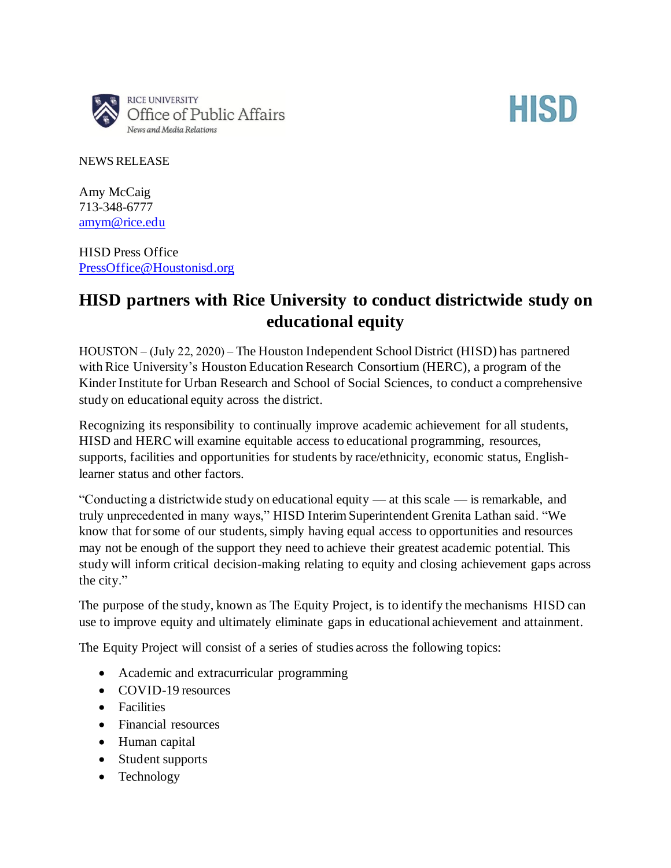

## **HISD**

NEWS RELEASE

Amy McCaig 713-348-6777 [amym@rice.edu](mailto:amym@rice.edu)

HISD Press Office [PressOffice@Houstonisd.org](mailto:PressOffice@Houstonisd.org)

## **HISD partners with Rice University to conduct districtwide study on educational equity**

HOUSTON – (July 22, 2020) – The Houston Independent School District (HISD) has partnered with Rice University's Houston Education Research Consortium (HERC), a program of the Kinder Institute for Urban Research and School of Social Sciences, to conduct a comprehensive study on educational equity across the district.

Recognizing its responsibility to continually improve academic achievement for all students, HISD and HERC will examine equitable access to educational programming, resources, supports, facilities and opportunities for students by race/ethnicity, economic status, Englishlearner status and other factors.

"Conducting a districtwide study on educational equity — at this scale — is remarkable, and truly unprecedented in many ways," HISD Interim Superintendent Grenita Lathan said. "We know that for some of our students, simply having equal access to opportunities and resources may not be enough of the support they need to achieve their greatest academic potential. This study will inform critical decision-making relating to equity and closing achievement gaps across the city."

The purpose of the study, known as The Equity Project, is to identify the mechanisms HISD can use to improve equity and ultimately eliminate gaps in educational achievement and attainment.

The Equity Project will consist of a series of studies across the following topics:

- Academic and extracurricular programming
- COVID-19 resources
- Facilities
- Financial resources
- Human capital
- Student supports
- Technology